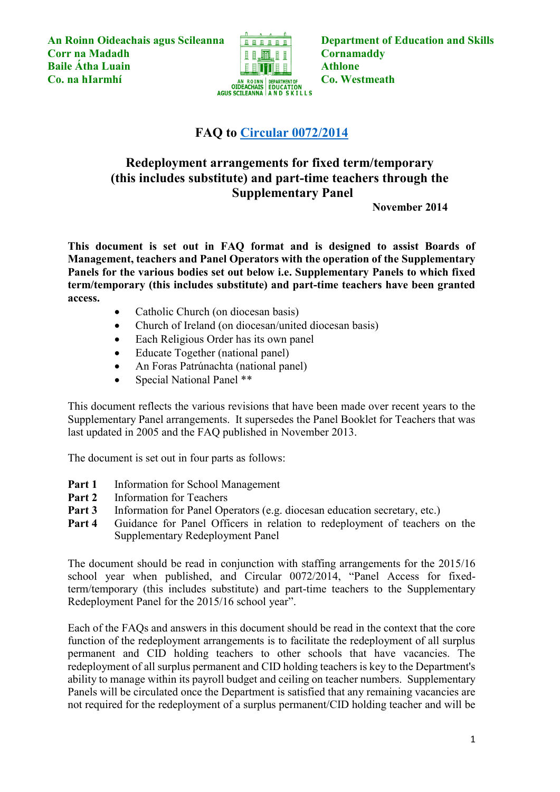An Roinn Oideachais agus Scileanna **Department of Education and Skills Corr na Madadh Cornamaddy Cornamaddy Baile Átha Luain Christian Athlone Athlone Co. na hIarmhí Co. Westmeath**<br> **Co. Westmeath**<br> **Co. Westmeath**<br> **Co. Westmeath**<br> **CO. Westmeath**<br> **AGUS SCILEANNA AND SKILLS** 



# **FAQ to [Circular 0072/2014](http://www.education.ie/en/Circulars-and-Forms/Active-Circulars/cl0072_2014.pdf)**

# **Redeployment arrangements for fixed term/temporary (this includes substitute) and part-time teachers through the Supplementary Panel**

**November 2014**

**This document is set out in FAQ format and is designed to assist Boards of Management, teachers and Panel Operators with the operation of the Supplementary Panels for the various bodies set out below i.e. Supplementary Panels to which fixed term/temporary (this includes substitute) and part-time teachers have been granted access.** 

- Catholic Church (on diocesan basis)
- Church of Ireland (on diocesan/united diocesan basis)
- Each Religious Order has its own panel
- Educate Together (national panel)
- An Foras Patrúnachta (national panel)
- Special National Panel \*\*

This document reflects the various revisions that have been made over recent years to the Supplementary Panel arrangements. It supersedes the Panel Booklet for Teachers that was last updated in 2005 and the FAQ published in November 2013.

The document is set out in four parts as follows:

- Part 1 Information for School Management
- **Part 2** Information for Teachers
- **Part 3** Information for Panel Operators (e.g. diocesan education secretary, etc.)
- **Part 4** Guidance for Panel Officers in relation to redeployment of teachers on the Supplementary Redeployment Panel

The document should be read in conjunction with staffing arrangements for the 2015/16 school year when published, and Circular 0072/2014, "Panel Access for fixedterm/temporary (this includes substitute) and part-time teachers to the Supplementary Redeployment Panel for the 2015/16 school year".

Each of the FAQs and answers in this document should be read in the context that the core function of the redeployment arrangements is to facilitate the redeployment of all surplus permanent and CID holding teachers to other schools that have vacancies. The redeployment of all surplus permanent and CID holding teachers is key to the Department's ability to manage within its payroll budget and ceiling on teacher numbers. Supplementary Panels will be circulated once the Department is satisfied that any remaining vacancies are not required for the redeployment of a surplus permanent/CID holding teacher and will be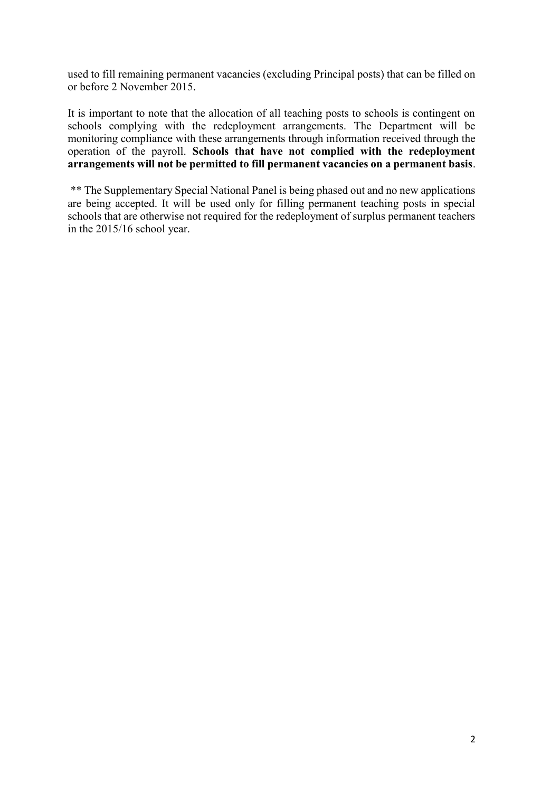used to fill remaining permanent vacancies (excluding Principal posts) that can be filled on or before 2 November 2015.

It is important to note that the allocation of all teaching posts to schools is contingent on schools complying with the redeployment arrangements. The Department will be monitoring compliance with these arrangements through information received through the operation of the payroll. **Schools that have not complied with the redeployment arrangements will not be permitted to fill permanent vacancies on a permanent basis**.

\*\* The Supplementary Special National Panel is being phased out and no new applications are being accepted. It will be used only for filling permanent teaching posts in special schools that are otherwise not required for the redeployment of surplus permanent teachers in the 2015/16 school year.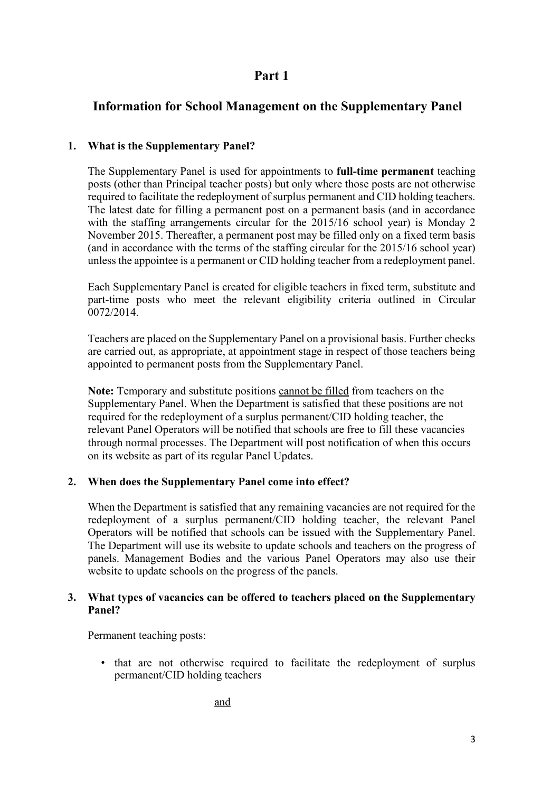# **Part 1**

# **Information for School Management on the Supplementary Panel**

# **1. What is the Supplementary Panel?**

The Supplementary Panel is used for appointments to **full-time permanent** teaching posts (other than Principal teacher posts) but only where those posts are not otherwise required to facilitate the redeployment of surplus permanent and CID holding teachers. The latest date for filling a permanent post on a permanent basis (and in accordance with the staffing arrangements circular for the 2015/16 school year) is Monday 2 November 2015. Thereafter, a permanent post may be filled only on a fixed term basis (and in accordance with the terms of the staffing circular for the 2015/16 school year) unless the appointee is a permanent or CID holding teacher from a redeployment panel.

Each Supplementary Panel is created for eligible teachers in fixed term, substitute and part-time posts who meet the relevant eligibility criteria outlined in Circular 0072/2014.

Teachers are placed on the Supplementary Panel on a provisional basis. Further checks are carried out, as appropriate, at appointment stage in respect of those teachers being appointed to permanent posts from the Supplementary Panel.

**Note:** Temporary and substitute positions cannot be filled from teachers on the Supplementary Panel. When the Department is satisfied that these positions are not required for the redeployment of a surplus permanent/CID holding teacher, the relevant Panel Operators will be notified that schools are free to fill these vacancies through normal processes. The Department will post notification of when this occurs on its website as part of its regular Panel Updates.

# **2. When does the Supplementary Panel come into effect?**

When the Department is satisfied that any remaining vacancies are not required for the redeployment of a surplus permanent/CID holding teacher, the relevant Panel Operators will be notified that schools can be issued with the Supplementary Panel. The Department will use its website to update schools and teachers on the progress of panels. Management Bodies and the various Panel Operators may also use their website to update schools on the progress of the panels.

### **3. What types of vacancies can be offered to teachers placed on the Supplementary Panel?**

Permanent teaching posts:

• that are not otherwise required to facilitate the redeployment of surplus permanent/CID holding teachers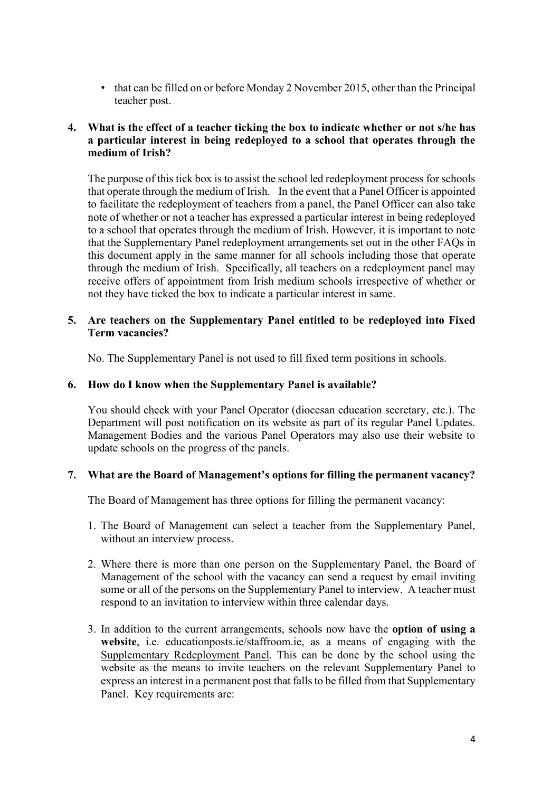• that can be filled on or before Monday 2 November 2015, other than the Principal teacher post.

#### **4. What is the effect of a teacher ticking the box to indicate whether or not s/he has a particular interest in being redeployed to a school that operates through the medium of Irish?**

The purpose of this tick box is to assist the school led redeployment process for schools that operate through the medium of Irish. In the event that a Panel Officer is appointed to facilitate the redeployment of teachers from a panel, the Panel Officer can also take note of whether or not a teacher has expressed a particular interest in being redeployed to a school that operates through the medium of Irish. However, it is important to note that the Supplementary Panel redeployment arrangements set out in the other FAQs in this document apply in the same manner for all schools including those that operate through the medium of Irish. Specifically, all teachers on a redeployment panel may receive offers of appointment from Irish medium schools irrespective of whether or not they have ticked the box to indicate a particular interest in same.

#### **5. Are teachers on the Supplementary Panel entitled to be redeployed into Fixed Term vacancies?**

No. The Supplementary Panel is not used to fill fixed term positions in schools.

### **6. How do I know when the Supplementary Panel is available?**

You should check with your Panel Operator (diocesan education secretary, etc.). The Department will post notification on its website as part of its regular Panel Updates. Management Bodies and the various Panel Operators may also use their website to update schools on the progress of the panels.

# **7. What are the Board of Management's options for filling the permanent vacancy?**

The Board of Management has three options for filling the permanent vacancy:

- 1. The Board of Management can select a teacher from the Supplementary Panel, without an interview process.
- 2. Where there is more than one person on the Supplementary Panel, the Board of Management of the school with the vacancy can send a request by email inviting some or all of the persons on the Supplementary Panel to interview. A teacher must respond to an invitation to interview within three calendar days.
- 3. In addition to the current arrangements, schools now have the **option of using a website**, i.e. educationposts.ie/staffroom.ie, as a means of engaging with the Supplementary Redeployment Panel. This can be done by the school using the website as the means to invite teachers on the relevant Supplementary Panel to express an interest in a permanent post that falls to be filled from that Supplementary Panel. Key requirements are: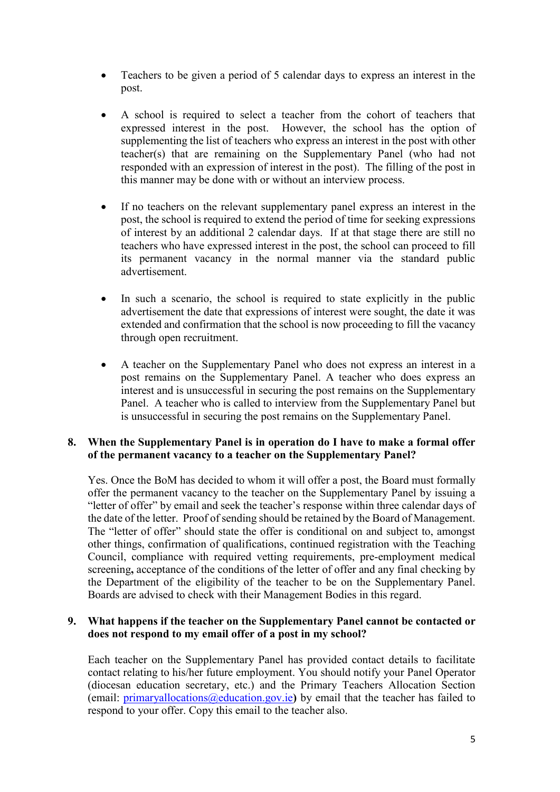- Teachers to be given a period of 5 calendar days to express an interest in the post.
- A school is required to select a teacher from the cohort of teachers that expressed interest in the post. However, the school has the option of supplementing the list of teachers who express an interest in the post with other teacher(s) that are remaining on the Supplementary Panel (who had not responded with an expression of interest in the post). The filling of the post in this manner may be done with or without an interview process.
- If no teachers on the relevant supplementary panel express an interest in the post, the school is required to extend the period of time for seeking expressions of interest by an additional 2 calendar days. If at that stage there are still no teachers who have expressed interest in the post, the school can proceed to fill its permanent vacancy in the normal manner via the standard public advertisement.
- In such a scenario, the school is required to state explicitly in the public advertisement the date that expressions of interest were sought, the date it was extended and confirmation that the school is now proceeding to fill the vacancy through open recruitment.
- A teacher on the Supplementary Panel who does not express an interest in a post remains on the Supplementary Panel. A teacher who does express an interest and is unsuccessful in securing the post remains on the Supplementary Panel. A teacher who is called to interview from the Supplementary Panel but is unsuccessful in securing the post remains on the Supplementary Panel.

### **8. When the Supplementary Panel is in operation do I have to make a formal offer of the permanent vacancy to a teacher on the Supplementary Panel?**

Yes. Once the BoM has decided to whom it will offer a post, the Board must formally offer the permanent vacancy to the teacher on the Supplementary Panel by issuing a "letter of offer" by email and seek the teacher's response within three calendar days of the date of the letter. Proof of sending should be retained by the Board of Management. The "letter of offer" should state the offer is conditional on and subject to, amongst other things, confirmation of qualifications, continued registration with the Teaching Council, compliance with required vetting requirements, pre-employment medical screening**,** acceptance of the conditions of the letter of offer and any final checking by the Department of the eligibility of the teacher to be on the Supplementary Panel. Boards are advised to check with their Management Bodies in this regard.

### **9. What happens if the teacher on the Supplementary Panel cannot be contacted or does not respond to my email offer of a post in my school?**

Each teacher on the Supplementary Panel has provided contact details to facilitate contact relating to his/her future employment. You should notify your Panel Operator (diocesan education secretary, etc.) and the Primary Teachers Allocation Section (email: primaryallocations@education.gov.ie**)** by email that the teacher has failed to respond to your offer. Copy this email to the teacher also.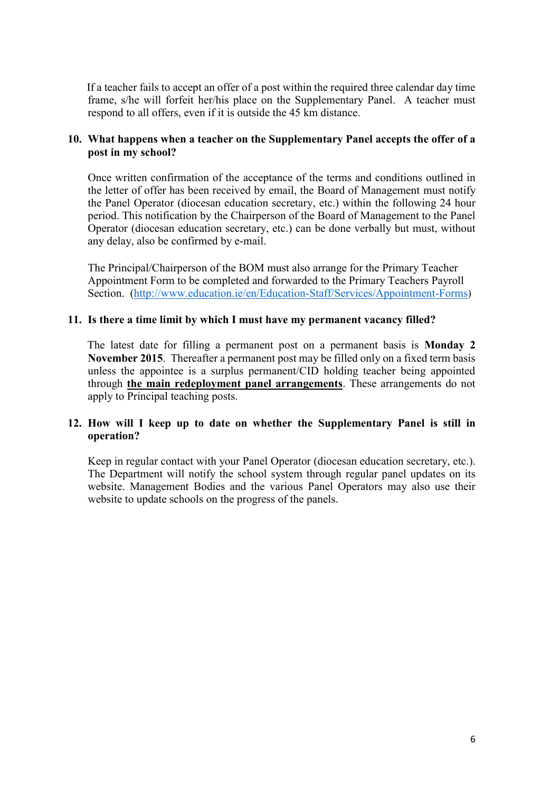If a teacher fails to accept an offer of a post within the required three calendar day time frame, s/he will forfeit her/his place on the Supplementary Panel. A teacher must respond to all offers, even if it is outside the 45 km distance.

### **10. What happens when a teacher on the Supplementary Panel accepts the offer of a post in my school?**

Once written confirmation of the acceptance of the terms and conditions outlined in the letter of offer has been received by email, the Board of Management must notify the Panel Operator (diocesan education secretary, etc.) within the following 24 hour period. This notification by the Chairperson of the Board of Management to the Panel Operator (diocesan education secretary, etc.) can be done verbally but must, without any delay, also be confirmed by e-mail.

The Principal/Chairperson of the BOM must also arrange for the Primary Teacher Appointment Form to be completed and forwarded to the Primary Teachers Payroll Section. [\(http://www.education.ie/en/Education-Staff/Services/Appointment-Forms](http://www.education.ie/en/Education-Staff/Services/Appointment-Forms))

#### **11. Is there a time limit by which I must have my permanent vacancy filled?**

 The latest date for filling a permanent post on a permanent basis is **Monday 2 November 2015**. Thereafter a permanent post may be filled only on a fixed term basis unless the appointee is a surplus permanent/CID holding teacher being appointed through **the main redeployment panel arrangements**. These arrangements do not apply to Principal teaching posts.

### **12. How will I keep up to date on whether the Supplementary Panel is still in operation?**

Keep in regular contact with your Panel Operator (diocesan education secretary, etc.). The Department will notify the school system through regular panel updates on its website. Management Bodies and the various Panel Operators may also use their website to update schools on the progress of the panels.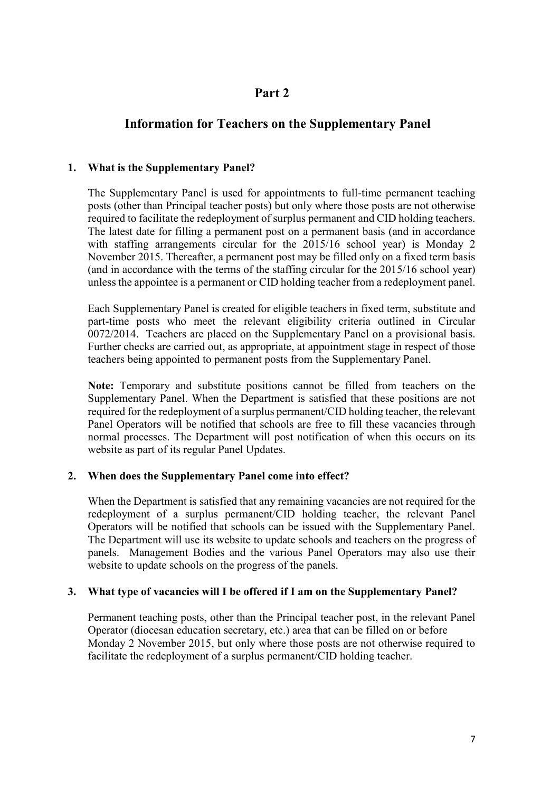# **Part 2**

# **Information for Teachers on the Supplementary Panel**

### **1. What is the Supplementary Panel?**

The Supplementary Panel is used for appointments to full-time permanent teaching posts (other than Principal teacher posts) but only where those posts are not otherwise required to facilitate the redeployment of surplus permanent and CID holding teachers. The latest date for filling a permanent post on a permanent basis (and in accordance with staffing arrangements circular for the 2015/16 school year) is Monday 2 November 2015. Thereafter, a permanent post may be filled only on a fixed term basis (and in accordance with the terms of the staffing circular for the 2015/16 school year) unless the appointee is a permanent or CID holding teacher from a redeployment panel.

Each Supplementary Panel is created for eligible teachers in fixed term, substitute and part-time posts who meet the relevant eligibility criteria outlined in Circular 0072/2014. Teachers are placed on the Supplementary Panel on a provisional basis. Further checks are carried out, as appropriate, at appointment stage in respect of those teachers being appointed to permanent posts from the Supplementary Panel.

**Note:** Temporary and substitute positions cannot be filled from teachers on the Supplementary Panel. When the Department is satisfied that these positions are not required for the redeployment of a surplus permanent/CID holding teacher, the relevant Panel Operators will be notified that schools are free to fill these vacancies through normal processes. The Department will post notification of when this occurs on its website as part of its regular Panel Updates.

# **2. When does the Supplementary Panel come into effect?**

When the Department is satisfied that any remaining vacancies are not required for the redeployment of a surplus permanent/CID holding teacher, the relevant Panel Operators will be notified that schools can be issued with the Supplementary Panel. The Department will use its website to update schools and teachers on the progress of panels. Management Bodies and the various Panel Operators may also use their website to update schools on the progress of the panels.

#### **3. What type of vacancies will I be offered if I am on the Supplementary Panel?**

Permanent teaching posts, other than the Principal teacher post, in the relevant Panel Operator (diocesan education secretary, etc.) area that can be filled on or before Monday 2 November 2015, but only where those posts are not otherwise required to facilitate the redeployment of a surplus permanent/CID holding teacher.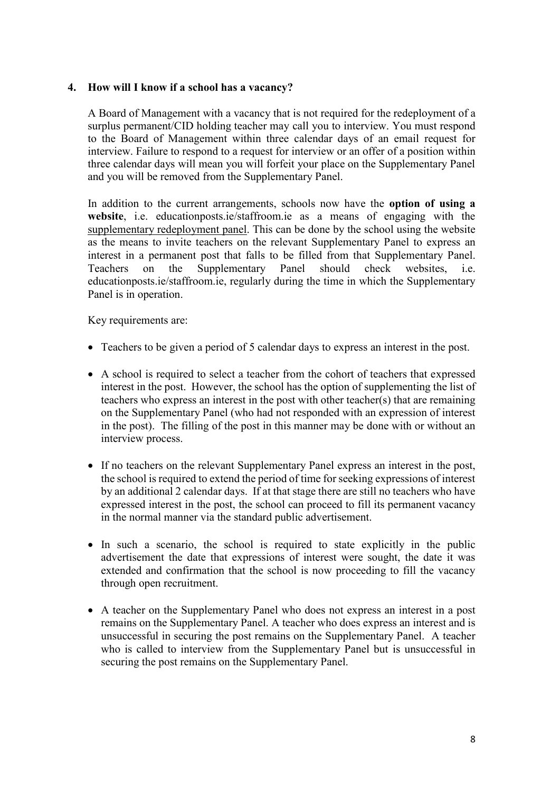### **4. How will I know if a school has a vacancy?**

A Board of Management with a vacancy that is not required for the redeployment of a surplus permanent/CID holding teacher may call you to interview. You must respond to the Board of Management within three calendar days of an email request for interview. Failure to respond to a request for interview or an offer of a position within three calendar days will mean you will forfeit your place on the Supplementary Panel and you will be removed from the Supplementary Panel.

In addition to the current arrangements, schools now have the **option of using a website**, i.e. educationposts.ie/staffroom.ie as a means of engaging with the supplementary redeployment panel. This can be done by the school using the website as the means to invite teachers on the relevant Supplementary Panel to express an interest in a permanent post that falls to be filled from that Supplementary Panel. Teachers on the Supplementary Panel should check websites, i.e. educationposts.ie/staffroom.ie, regularly during the time in which the Supplementary Panel is in operation.

Key requirements are:

- Teachers to be given a period of 5 calendar days to express an interest in the post.
- A school is required to select a teacher from the cohort of teachers that expressed interest in the post. However, the school has the option of supplementing the list of teachers who express an interest in the post with other teacher(s) that are remaining on the Supplementary Panel (who had not responded with an expression of interest in the post). The filling of the post in this manner may be done with or without an interview process.
- If no teachers on the relevant Supplementary Panel express an interest in the post, the school is required to extend the period of time for seeking expressions of interest by an additional 2 calendar days. If at that stage there are still no teachers who have expressed interest in the post, the school can proceed to fill its permanent vacancy in the normal manner via the standard public advertisement.
- In such a scenario, the school is required to state explicitly in the public advertisement the date that expressions of interest were sought, the date it was extended and confirmation that the school is now proceeding to fill the vacancy through open recruitment.
- A teacher on the Supplementary Panel who does not express an interest in a post remains on the Supplementary Panel. A teacher who does express an interest and is unsuccessful in securing the post remains on the Supplementary Panel. A teacher who is called to interview from the Supplementary Panel but is unsuccessful in securing the post remains on the Supplementary Panel.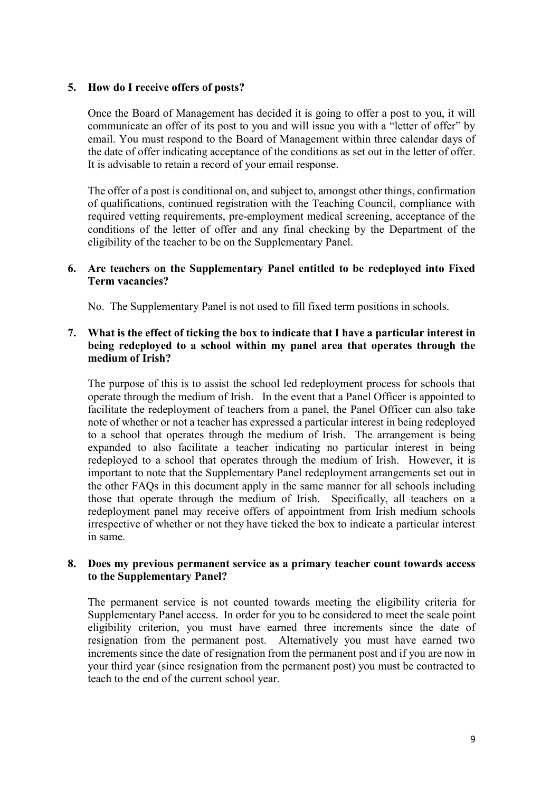### **5. How do I receive offers of posts?**

Once the Board of Management has decided it is going to offer a post to you, it will communicate an offer of its post to you and will issue you with a "letter of offer" by email. You must respond to the Board of Management within three calendar days of the date of offer indicating acceptance of the conditions as set out in the letter of offer. It is advisable to retain a record of your email response.

The offer of a post is conditional on, and subject to, amongst other things, confirmation of qualifications, continued registration with the Teaching Council, compliance with required vetting requirements, pre-employment medical screening, acceptance of the conditions of the letter of offer and any final checking by the Department of the eligibility of the teacher to be on the Supplementary Panel.

#### **6. Are teachers on the Supplementary Panel entitled to be redeployed into Fixed Term vacancies?**

No. The Supplementary Panel is not used to fill fixed term positions in schools.

### **7. What is the effect of ticking the box to indicate that I have a particular interest in being redeployed to a school within my panel area that operates through the medium of Irish?**

The purpose of this is to assist the school led redeployment process for schools that operate through the medium of Irish. In the event that a Panel Officer is appointed to facilitate the redeployment of teachers from a panel, the Panel Officer can also take note of whether or not a teacher has expressed a particular interest in being redeployed to a school that operates through the medium of Irish. The arrangement is being expanded to also facilitate a teacher indicating no particular interest in being redeployed to a school that operates through the medium of Irish. However, it is important to note that the Supplementary Panel redeployment arrangements set out in the other FAQs in this document apply in the same manner for all schools including those that operate through the medium of Irish. Specifically, all teachers on a redeployment panel may receive offers of appointment from Irish medium schools irrespective of whether or not they have ticked the box to indicate a particular interest in same.

#### **8. Does my previous permanent service as a primary teacher count towards access to the Supplementary Panel?**

The permanent service is not counted towards meeting the eligibility criteria for Supplementary Panel access. In order for you to be considered to meet the scale point eligibility criterion, you must have earned three increments since the date of resignation from the permanent post. Alternatively you must have earned two increments since the date of resignation from the permanent post and if you are now in your third year (since resignation from the permanent post) you must be contracted to teach to the end of the current school year.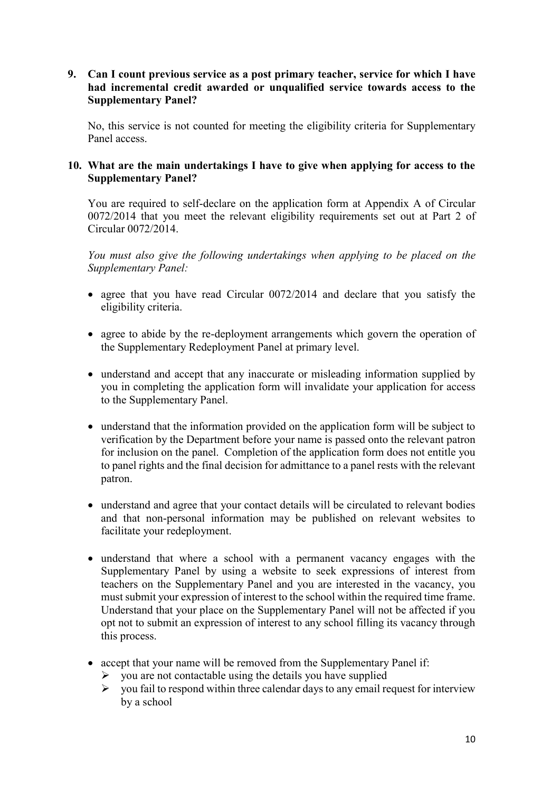### **9. Can I count previous service as a post primary teacher, service for which I have had incremental credit awarded or unqualified service towards access to the Supplementary Panel?**

No, this service is not counted for meeting the eligibility criteria for Supplementary Panel access.

# **10. What are the main undertakings I have to give when applying for access to the Supplementary Panel?**

You are required to self-declare on the application form at Appendix A of Circular 0072/2014 that you meet the relevant eligibility requirements set out at Part 2 of Circular 0072/2014.

*You must also give the following undertakings when applying to be placed on the Supplementary Panel:*

- agree that you have read Circular 0072/2014 and declare that you satisfy the eligibility criteria.
- agree to abide by the re-deployment arrangements which govern the operation of the Supplementary Redeployment Panel at primary level.
- understand and accept that any inaccurate or misleading information supplied by you in completing the application form will invalidate your application for access to the Supplementary Panel.
- understand that the information provided on the application form will be subject to verification by the Department before your name is passed onto the relevant patron for inclusion on the panel. Completion of the application form does not entitle you to panel rights and the final decision for admittance to a panel rests with the relevant patron.
- understand and agree that your contact details will be circulated to relevant bodies and that non-personal information may be published on relevant websites to facilitate your redeployment.
- understand that where a school with a permanent vacancy engages with the Supplementary Panel by using a website to seek expressions of interest from teachers on the Supplementary Panel and you are interested in the vacancy, you must submit your expression of interest to the school within the required time frame. Understand that your place on the Supplementary Panel will not be affected if you opt not to submit an expression of interest to any school filling its vacancy through this process.
- accept that your name will be removed from the Supplementary Panel if:
	- $\triangleright$  vou are not contactable using the details you have supplied
	- $\triangleright$  vou fail to respond within three calendar days to any email request for interview by a school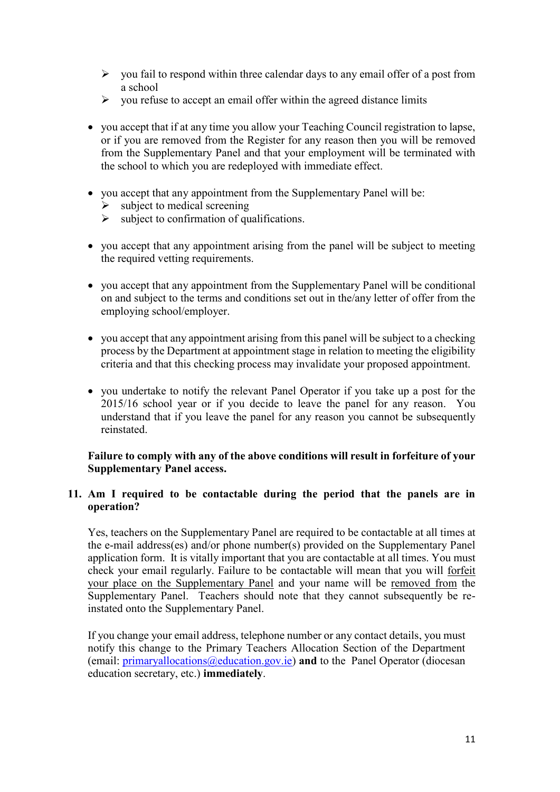- $\triangleright$  you fail to respond within three calendar days to any email offer of a post from a school
- $\triangleright$  vou refuse to accept an email offer within the agreed distance limits
- you accept that if at any time you allow your Teaching Council registration to lapse, or if you are removed from the Register for any reason then you will be removed from the Supplementary Panel and that your employment will be terminated with the school to which you are redeployed with immediate effect.
- you accept that any appointment from the Supplementary Panel will be:
	- subject to medical screening
	- $\triangleright$  subject to confirmation of qualifications.
- you accept that any appointment arising from the panel will be subject to meeting the required vetting requirements.
- you accept that any appointment from the Supplementary Panel will be conditional on and subject to the terms and conditions set out in the/any letter of offer from the employing school/employer.
- you accept that any appointment arising from this panel will be subject to a checking process by the Department at appointment stage in relation to meeting the eligibility criteria and that this checking process may invalidate your proposed appointment.
- you undertake to notify the relevant Panel Operator if you take up a post for the 2015/16 school year or if you decide to leave the panel for any reason. You understand that if you leave the panel for any reason you cannot be subsequently reinstated.

### **Failure to comply with any of the above conditions will result in forfeiture of your Supplementary Panel access.**

#### **11. Am I required to be contactable during the period that the panels are in operation?**

Yes, teachers on the Supplementary Panel are required to be contactable at all times at the e-mail address(es) and/or phone number(s) provided on the Supplementary Panel application form. It is vitally important that you are contactable at all times. You must check your email regularly. Failure to be contactable will mean that you will forfeit your place on the Supplementary Panel and your name will be removed from the Supplementary Panel. Teachers should note that they cannot subsequently be reinstated onto the Supplementary Panel.

If you change your email address, telephone number or any contact details, you must notify this change to the Primary Teachers Allocation Section of the Department (email: primaryallocations@education.gov.ie) **and** to the Panel Operator (diocesan education secretary, etc.) **immediately**.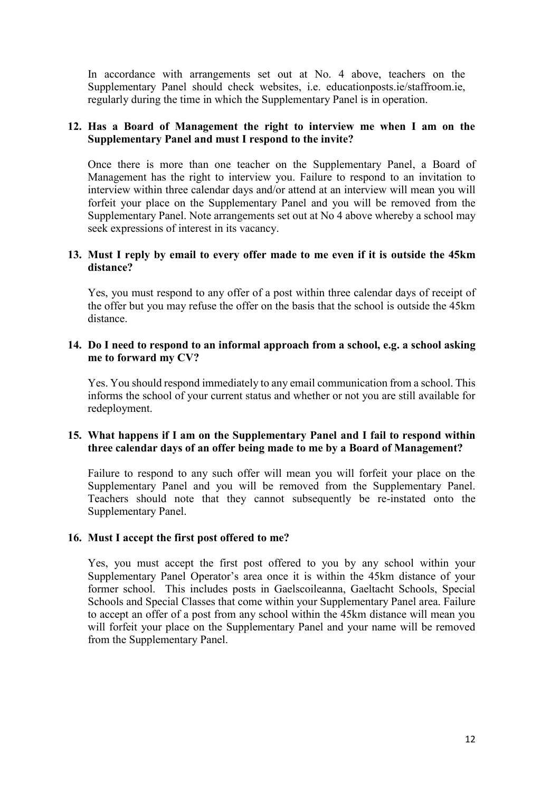In accordance with arrangements set out at No. 4 above, teachers on the Supplementary Panel should check websites, i.e. educationposts.ie/staffroom.ie, regularly during the time in which the Supplementary Panel is in operation.

### **12. Has a Board of Management the right to interview me when I am on the Supplementary Panel and must I respond to the invite?**

Once there is more than one teacher on the Supplementary Panel, a Board of Management has the right to interview you. Failure to respond to an invitation to interview within three calendar days and/or attend at an interview will mean you will forfeit your place on the Supplementary Panel and you will be removed from the Supplementary Panel. Note arrangements set out at No 4 above whereby a school may seek expressions of interest in its vacancy.

#### **13. Must I reply by email to every offer made to me even if it is outside the 45km distance?**

Yes, you must respond to any offer of a post within three calendar days of receipt of the offer but you may refuse the offer on the basis that the school is outside the 45km distance.

#### **14. Do I need to respond to an informal approach from a school, e.g. a school asking me to forward my CV?**

Yes. You should respond immediately to any email communication from a school. This informs the school of your current status and whether or not you are still available for redeployment.

### **15. What happens if I am on the Supplementary Panel and I fail to respond within three calendar days of an offer being made to me by a Board of Management?**

Failure to respond to any such offer will mean you will forfeit your place on the Supplementary Panel and you will be removed from the Supplementary Panel. Teachers should note that they cannot subsequently be re-instated onto the Supplementary Panel.

#### **16. Must I accept the first post offered to me?**

Yes, you must accept the first post offered to you by any school within your Supplementary Panel Operator's area once it is within the 45km distance of your former school. This includes posts in Gaelscoileanna, Gaeltacht Schools, Special Schools and Special Classes that come within your Supplementary Panel area. Failure to accept an offer of a post from any school within the 45km distance will mean you will forfeit your place on the Supplementary Panel and your name will be removed from the Supplementary Panel.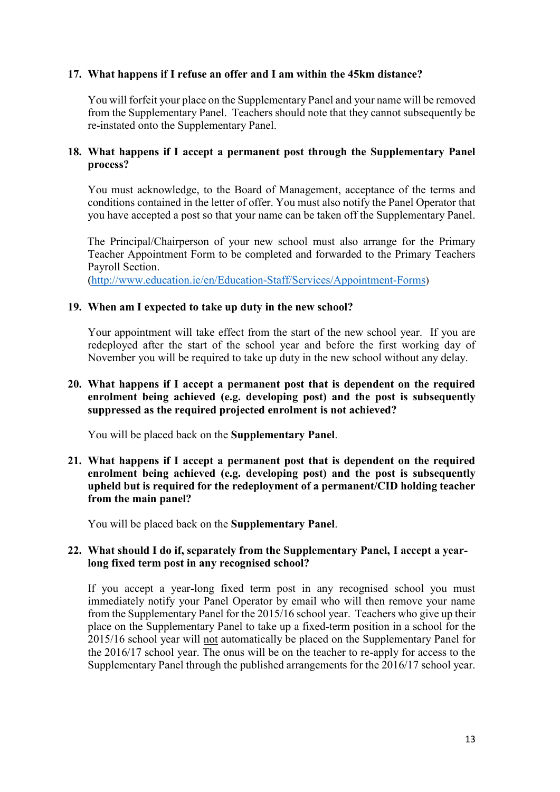### **17. What happens if I refuse an offer and I am within the 45km distance?**

You will forfeit your place on the Supplementary Panel and your name will be removed from the Supplementary Panel. Teachers should note that they cannot subsequently be re-instated onto the Supplementary Panel.

#### **18. What happens if I accept a permanent post through the Supplementary Panel process?**

You must acknowledge, to the Board of Management, acceptance of the terms and conditions contained in the letter of offer. You must also notify the Panel Operator that you have accepted a post so that your name can be taken off the Supplementary Panel.

 The Principal/Chairperson of your new school must also arrange for the Primary Teacher Appointment Form to be completed and forwarded to the Primary Teachers Payroll Section.

[\(http://www.education.ie/en/Education-Staff/Services/Appointment-Forms](http://www.education.ie/en/Education-Staff/Services/Appointment-Forms))

#### **19. When am I expected to take up duty in the new school?**

Your appointment will take effect from the start of the new school year. If you are redeployed after the start of the school year and before the first working day of November you will be required to take up duty in the new school without any delay.

### **20. What happens if I accept a permanent post that is dependent on the required enrolment being achieved (e.g. developing post) and the post is subsequently suppressed as the required projected enrolment is not achieved?**

You will be placed back on the **Supplementary Panel**.

**21. What happens if I accept a permanent post that is dependent on the required**  enrolment being achieved (e.g. developing post) and the post is subsequently **upheld but is required for the redeployment of a permanent/CID holding teacher from the main panel?** 

You will be placed back on the **Supplementary Panel**.

### **22. What should I do if, separately from the Supplementary Panel, I accept a yearlong fixed term post in any recognised school?**

If you accept a year-long fixed term post in any recognised school you must immediately notify your Panel Operator by email who will then remove your name from the Supplementary Panel for the 2015/16 school year. Teachers who give up their place on the Supplementary Panel to take up a fixed-term position in a school for the 2015/16 school year will not automatically be placed on the Supplementary Panel for the 2016/17 school year. The onus will be on the teacher to re-apply for access to the Supplementary Panel through the published arrangements for the 2016/17 school year.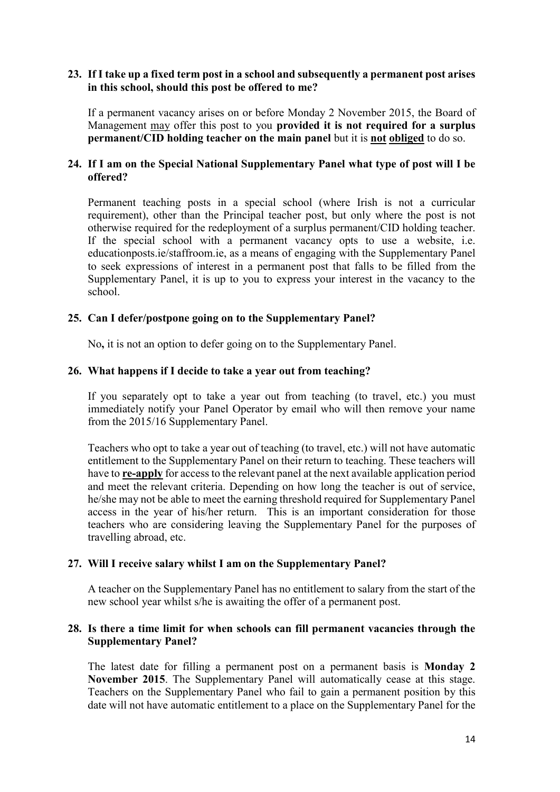#### **23. If I take up a fixed term post in a school and subsequently a permanent post arises in this school, should this post be offered to me?**

If a permanent vacancy arises on or before Monday 2 November 2015, the Board of Management may offer this post to you **provided it is not required for a surplus permanent/CID holding teacher on the main panel** but it is **not obliged** to do so.

### **24. If I am on the Special National Supplementary Panel what type of post will I be offered?**

Permanent teaching posts in a special school (where Irish is not a curricular requirement), other than the Principal teacher post, but only where the post is not otherwise required for the redeployment of a surplus permanent/CID holding teacher. If the special school with a permanent vacancy opts to use a website, i.e. educationposts.ie/staffroom.ie, as a means of engaging with the Supplementary Panel to seek expressions of interest in a permanent post that falls to be filled from the Supplementary Panel, it is up to you to express your interest in the vacancy to the school.

### **25. Can I defer/postpone going on to the Supplementary Panel?**

No**,** it is not an option to defer going on to the Supplementary Panel.

#### **26. What happens if I decide to take a year out from teaching?**

If you separately opt to take a year out from teaching (to travel, etc.) you must immediately notify your Panel Operator by email who will then remove your name from the 2015/16 Supplementary Panel.

Teachers who opt to take a year out of teaching (to travel, etc.) will not have automatic entitlement to the Supplementary Panel on their return to teaching. These teachers will have to **re-apply** for access to the relevant panel at the next available application period and meet the relevant criteria. Depending on how long the teacher is out of service, he/she may not be able to meet the earning threshold required for Supplementary Panel access in the year of his/her return. This is an important consideration for those teachers who are considering leaving the Supplementary Panel for the purposes of travelling abroad, etc.

#### **27. Will I receive salary whilst I am on the Supplementary Panel?**

A teacher on the Supplementary Panel has no entitlement to salary from the start of the new school year whilst s/he is awaiting the offer of a permanent post.

#### **28. Is there a time limit for when schools can fill permanent vacancies through the Supplementary Panel?**

 The latest date for filling a permanent post on a permanent basis is **Monday 2 November 2015**. The Supplementary Panel will automatically cease at this stage. Teachers on the Supplementary Panel who fail to gain a permanent position by this date will not have automatic entitlement to a place on the Supplementary Panel for the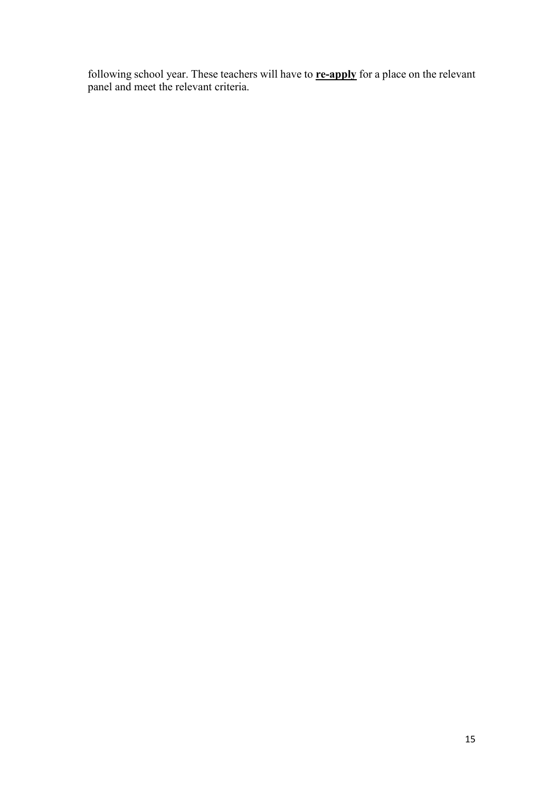following school year. These teachers will have to **re-apply** for a place on the relevant panel and meet the relevant criteria.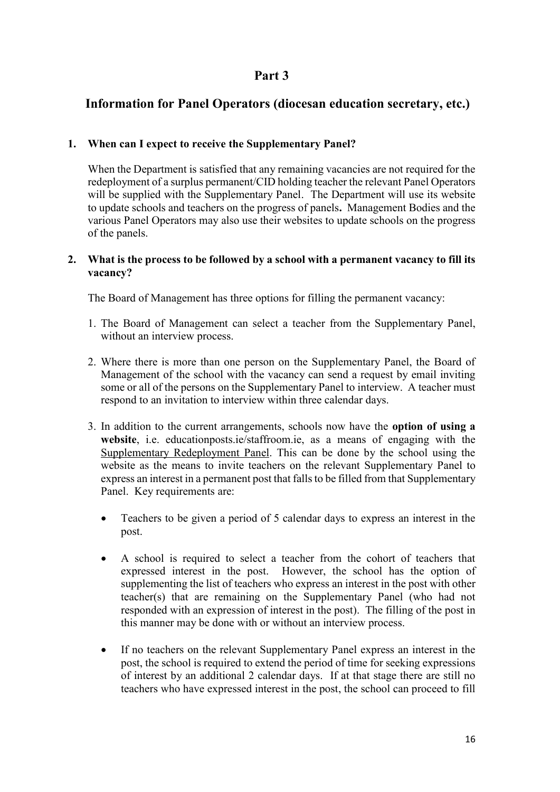# **Part 3**

# **Information for Panel Operators (diocesan education secretary, etc.)**

# **1. When can I expect to receive the Supplementary Panel?**

When the Department is satisfied that any remaining vacancies are not required for the redeployment of a surplus permanent/CID holding teacher the relevant Panel Operators will be supplied with the Supplementary Panel. The Department will use its website to update schools and teachers on the progress of panels**.** Management Bodies and the various Panel Operators may also use their websites to update schools on the progress of the panels.

### **2. What is the process to be followed by a school with a permanent vacancy to fill its vacancy?**

The Board of Management has three options for filling the permanent vacancy:

- 1. The Board of Management can select a teacher from the Supplementary Panel, without an interview process.
- 2. Where there is more than one person on the Supplementary Panel, the Board of Management of the school with the vacancy can send a request by email inviting some or all of the persons on the Supplementary Panel to interview. A teacher must respond to an invitation to interview within three calendar days.
- 3. In addition to the current arrangements, schools now have the **option of using a website**, i.e. educationposts.ie/staffroom.ie, as a means of engaging with the Supplementary Redeployment Panel. This can be done by the school using the website as the means to invite teachers on the relevant Supplementary Panel to express an interest in a permanent post that falls to be filled from that Supplementary Panel. Key requirements are:
	- Teachers to be given a period of 5 calendar days to express an interest in the post.
	- A school is required to select a teacher from the cohort of teachers that expressed interest in the post. However, the school has the option of supplementing the list of teachers who express an interest in the post with other teacher(s) that are remaining on the Supplementary Panel (who had not responded with an expression of interest in the post). The filling of the post in this manner may be done with or without an interview process.
	- If no teachers on the relevant Supplementary Panel express an interest in the post, the school is required to extend the period of time for seeking expressions of interest by an additional 2 calendar days. If at that stage there are still no teachers who have expressed interest in the post, the school can proceed to fill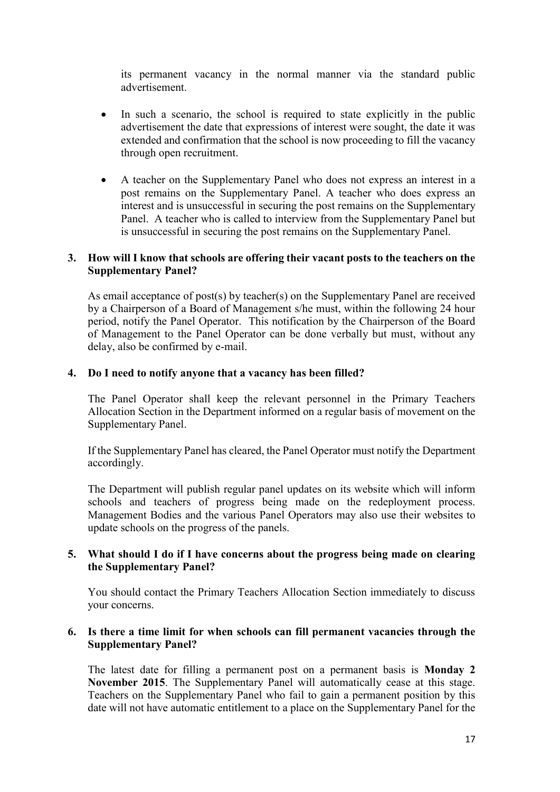its permanent vacancy in the normal manner via the standard public advertisement.

- In such a scenario, the school is required to state explicitly in the public advertisement the date that expressions of interest were sought, the date it was extended and confirmation that the school is now proceeding to fill the vacancy through open recruitment.
- A teacher on the Supplementary Panel who does not express an interest in a post remains on the Supplementary Panel. A teacher who does express an interest and is unsuccessful in securing the post remains on the Supplementary Panel. A teacher who is called to interview from the Supplementary Panel but is unsuccessful in securing the post remains on the Supplementary Panel.

#### **3. How will I know that schools are offering their vacant posts to the teachers on the Supplementary Panel?**

As email acceptance of post(s) by teacher(s) on the Supplementary Panel are received by a Chairperson of a Board of Management s/he must, within the following 24 hour period, notify the Panel Operator. This notification by the Chairperson of the Board of Management to the Panel Operator can be done verbally but must, without any delay, also be confirmed by e-mail.

#### **4. Do I need to notify anyone that a vacancy has been filled?**

The Panel Operator shall keep the relevant personnel in the Primary Teachers Allocation Section in the Department informed on a regular basis of movement on the Supplementary Panel.

If the Supplementary Panel has cleared, the Panel Operator must notify the Department accordingly.

The Department will publish regular panel updates on its website which will inform schools and teachers of progress being made on the redeployment process. Management Bodies and the various Panel Operators may also use their websites to update schools on the progress of the panels.

#### **5. What should I do if I have concerns about the progress being made on clearing the Supplementary Panel?**

You should contact the Primary Teachers Allocation Section immediately to discuss your concerns.

#### **6. Is there a time limit for when schools can fill permanent vacancies through the Supplementary Panel?**

The latest date for filling a permanent post on a permanent basis is **Monday 2 November 2015**. The Supplementary Panel will automatically cease at this stage. Teachers on the Supplementary Panel who fail to gain a permanent position by this date will not have automatic entitlement to a place on the Supplementary Panel for the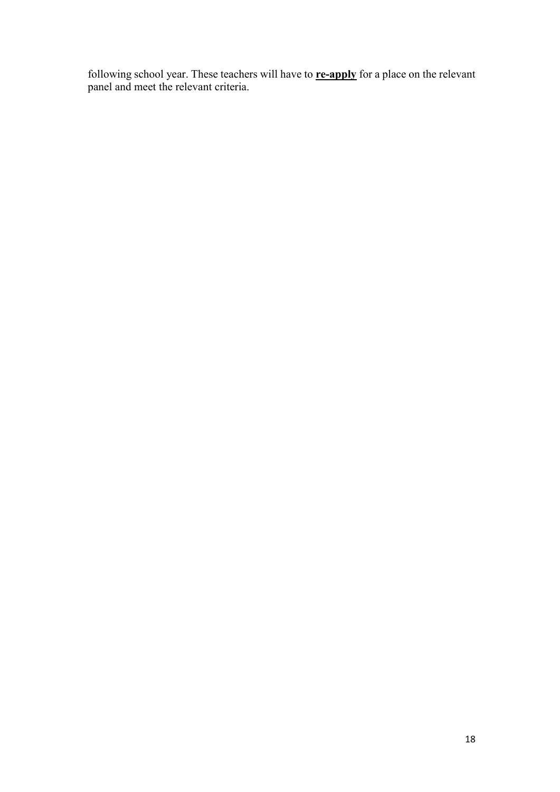following school year. These teachers will have to **re-apply** for a place on the relevant panel and meet the relevant criteria.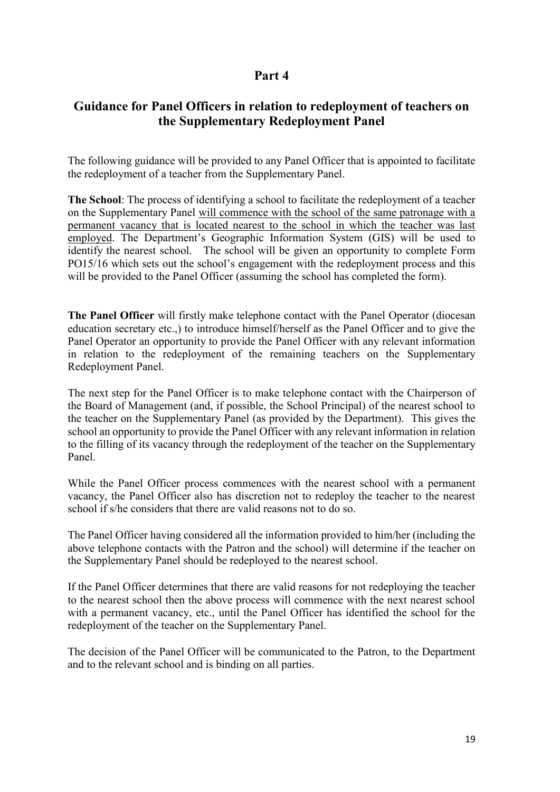# **Part 4**

# **Guidance for Panel Officers in relation to redeployment of teachers on the Supplementary Redeployment Panel**

The following guidance will be provided to any Panel Officer that is appointed to facilitate the redeployment of a teacher from the Supplementary Panel.

**The School**: The process of identifying a school to facilitate the redeployment of a teacher on the Supplementary Panel will commence with the school of the same patronage with a permanent vacancy that is located nearest to the school in which the teacher was last employed. The Department's Geographic Information System (GIS) will be used to identify the nearest school. The school will be given an opportunity to complete Form PO15/16 which sets out the school's engagement with the redeployment process and this will be provided to the Panel Officer (assuming the school has completed the form).

**The Panel Officer** will firstly make telephone contact with the Panel Operator (diocesan education secretary etc.,) to introduce himself/herself as the Panel Officer and to give the Panel Operator an opportunity to provide the Panel Officer with any relevant information in relation to the redeployment of the remaining teachers on the Supplementary Redeployment Panel.

The next step for the Panel Officer is to make telephone contact with the Chairperson of the Board of Management (and, if possible, the School Principal) of the nearest school to the teacher on the Supplementary Panel (as provided by the Department). This gives the school an opportunity to provide the Panel Officer with any relevant information in relation to the filling of its vacancy through the redeployment of the teacher on the Supplementary Panel.

While the Panel Officer process commences with the nearest school with a permanent vacancy, the Panel Officer also has discretion not to redeploy the teacher to the nearest school if s/he considers that there are valid reasons not to do so.

The Panel Officer having considered all the information provided to him/her (including the above telephone contacts with the Patron and the school) will determine if the teacher on the Supplementary Panel should be redeployed to the nearest school.

If the Panel Officer determines that there are valid reasons for not redeploying the teacher to the nearest school then the above process will commence with the next nearest school with a permanent vacancy, etc., until the Panel Officer has identified the school for the redeployment of the teacher on the Supplementary Panel.

The decision of the Panel Officer will be communicated to the Patron, to the Department and to the relevant school and is binding on all parties.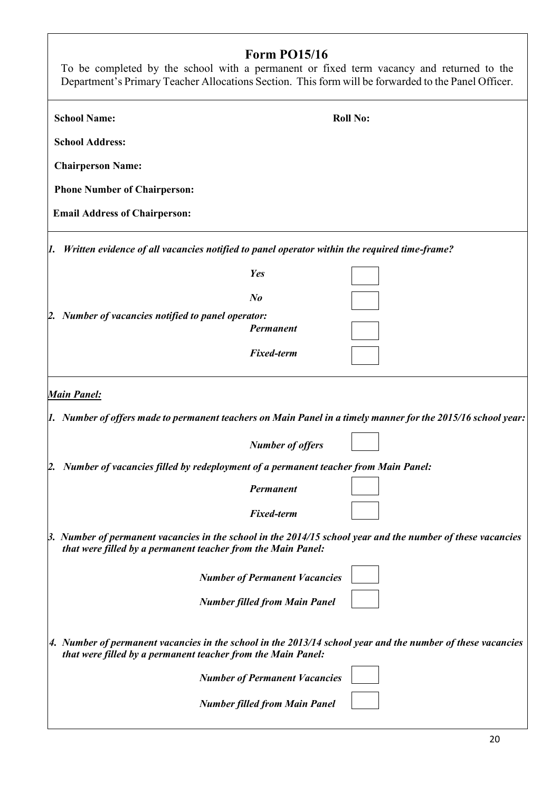# **Form PO15/16**

| L'ALIN I AVAIA<br>To be completed by the school with a permanent or fixed term vacancy and returned to the<br>Department's Primary Teacher Allocations Section. This form will be forwarded to the Panel Officer. |                                      |                                                                                                                    |
|-------------------------------------------------------------------------------------------------------------------------------------------------------------------------------------------------------------------|--------------------------------------|--------------------------------------------------------------------------------------------------------------------|
| <b>School Name:</b>                                                                                                                                                                                               |                                      | <b>Roll No:</b>                                                                                                    |
| <b>School Address:</b>                                                                                                                                                                                            |                                      |                                                                                                                    |
| <b>Chairperson Name:</b>                                                                                                                                                                                          |                                      |                                                                                                                    |
| <b>Phone Number of Chairperson:</b>                                                                                                                                                                               |                                      |                                                                                                                    |
| <b>Email Address of Chairperson:</b>                                                                                                                                                                              |                                      |                                                                                                                    |
| Written evidence of all vacancies notified to panel operator within the required time-frame?<br>1.                                                                                                                |                                      |                                                                                                                    |
|                                                                                                                                                                                                                   | <b>Yes</b>                           |                                                                                                                    |
|                                                                                                                                                                                                                   | $N_{\boldsymbol{0}}$                 |                                                                                                                    |
| 2. Number of vacancies notified to panel operator:                                                                                                                                                                |                                      |                                                                                                                    |
|                                                                                                                                                                                                                   | Permanent                            |                                                                                                                    |
|                                                                                                                                                                                                                   | <b>Fixed-term</b>                    |                                                                                                                    |
| <b>Main Panel:</b>                                                                                                                                                                                                |                                      |                                                                                                                    |
|                                                                                                                                                                                                                   |                                      | [1. Number of offers made to permanent teachers on Main Panel in a timely manner for the 2015/16 school year:      |
|                                                                                                                                                                                                                   | <b>Number of offers</b>              |                                                                                                                    |
| [2. Number of vacancies filled by redeployment of a permanent teacher from Main Panel:                                                                                                                            |                                      |                                                                                                                    |
|                                                                                                                                                                                                                   | <b>Permanent</b>                     |                                                                                                                    |
|                                                                                                                                                                                                                   | <b>Fixed-term</b>                    |                                                                                                                    |
| that were filled by a permanent teacher from the Main Panel:                                                                                                                                                      |                                      | $\beta$ . Number of permanent vacancies in the school in the 2014/15 school year and the number of these vacancies |
|                                                                                                                                                                                                                   | <b>Number of Permanent Vacancies</b> |                                                                                                                    |
|                                                                                                                                                                                                                   | <b>Number filled from Main Panel</b> |                                                                                                                    |
| that were filled by a permanent teacher from the Main Panel:                                                                                                                                                      |                                      | 4. Number of permanent vacancies in the school in the 2013/14 school year and the number of these vacancies        |
|                                                                                                                                                                                                                   | <b>Number of Permanent Vacancies</b> |                                                                                                                    |
|                                                                                                                                                                                                                   | <b>Number filled from Main Panel</b> |                                                                                                                    |

 $\overline{\phantom{a}}$